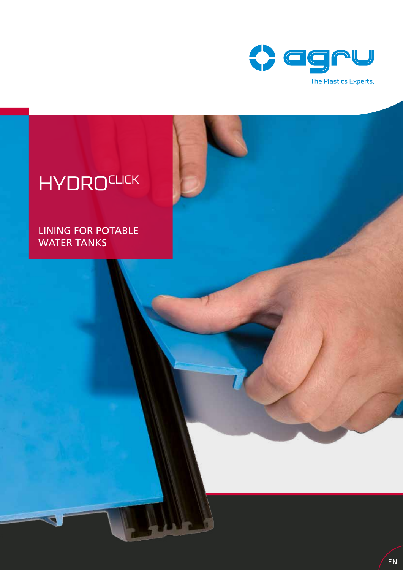

# **HYDROCLICK**

LINING FOR POTABLE WATER TANKS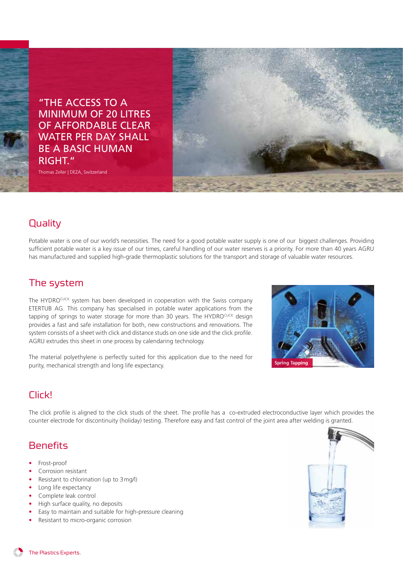

Thomas Zeller | DEZA, Switzerland



#### **Quality**

Potable water is one of our world's necessities. The need for a good potable water supply is one of our biggest challenges. Providing sufficient potable water is a key issue of our times, careful handling of our water reserves is a priority. For more than 40 years AGRU has manufactured and supplied high-grade thermoplastic solutions for the transport and storage of valuable water resources.

#### The system

The HYDROCLICK system has been developed in cooperation with the Swiss company ETERTUB AG. This company has specialised in potable water applications from the tapping of springs to water storage for more than 30 years. The HYDROCLICK design provides a fast and safe installation for both, new constructions and renovations. The system consists of a sheet with click and distance studs on one side and the click profile. AGRU extrudes this sheet in one process by calendaring technology.

The material polyethylene is perfectly suited for this application due to the need for purity, mechanical strength and long life expectancy.



# Click!

The click profile is aligned to the click studs of the sheet. The profile has a co-extruded electroconductive layer which provides the counter electrode for discontinuity (holiday) testing. Therefore easy and fast control of the joint area after welding is granted.

#### **Benefits**

- Frost-proof
- Corrosion resistant
- Resistant to chlorination (up to 3mg/l)
- Long life expectancy
- Complete leak control
- High surface quality, no deposits
- Easy to maintain and suitable for high-pressure cleaning
- Resistant to micro-organic corrosion



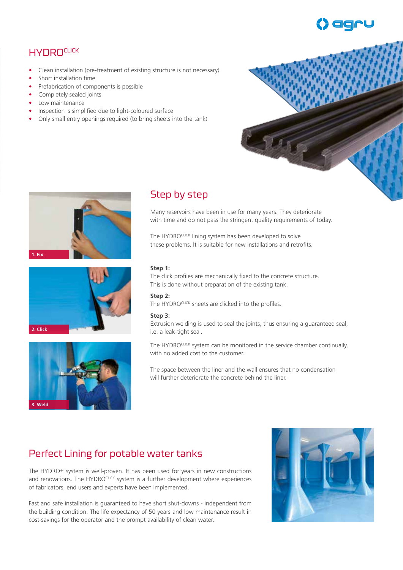# **HYDROCLICK**

- Clean installation (pre-treatment of existing structure is not necessary)
- Short installation time
- Prefabrication of components is possible
- Completely sealed joints
- Low maintenance
- Inspection is simplified due to light-coloured surface
- Only small entry openings required (to bring sheets into the tank)







### Step by step

Many reservoirs have been in use for many years. They deteriorate with time and do not pass the stringent quality requirements of today.

The HYDROCLICK lining system has been developed to solve these problems. It is suitable for new installations and retrofits.

#### **Step 1:**

The click profiles are mechanically fixed to the concrete structure. This is done without preparation of the existing tank.

#### **Step 2:**

The HYDROCLICK sheets are clicked into the profiles.

#### **Step 3:**

Extrusion welding is used to seal the joints, thus ensuring a guaranteed seal, i.e. a leak-tight seal.

The HYDROCLICK system can be monitored in the service chamber continually, with no added cost to the customer.

The space between the liner and the wall ensures that no condensation will further deteriorate the concrete behind the liner.

# Perfect Lining for potable water tanks

The HYDRO+ system is well-proven. It has been used for years in new constructions and renovations. The HYDROCLICK system is a further development where experiences of fabricators, end users and experts have been implemented.

Fast and safe installation is guaranteed to have short shut-downs - independent from the building condition. The life expectancy of 50 years and low maintenance result in cost-savings for the operator and the prompt availability of clean water.